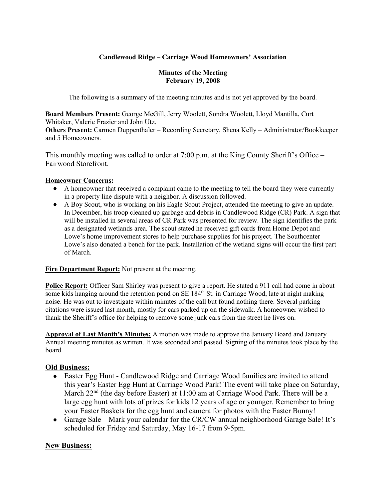## **Candlewood Ridge – Carriage Wood Homeowners' Association**

#### **Minutes of the Meeting February 19, 2008**

The following is a summary of the meeting minutes and is not yet approved by the board.

**Board Members Present:** George McGill, Jerry Woolett, Sondra Woolett, Lloyd Mantilla, Curt Whitaker, Valerie Frazier and John Utz.

**Others Present:** Carmen Duppenthaler – Recording Secretary, Shena Kelly – Administrator/Bookkeeper and 5 Homeowners.

This monthly meeting was called to order at 7:00 p.m. at the King County Sheriff's Office – Fairwood Storefront.

#### **Homeowner Concerns:**

- A homeowner that received a complaint came to the meeting to tell the board they were currently in a property line dispute with a neighbor. A discussion followed.
- A Boy Scout, who is working on his Eagle Scout Project, attended the meeting to give an update. In December, his troop cleaned up garbage and debris in Candlewood Ridge (CR) Park. A sign that will be installed in several areas of CR Park was presented for review. The sign identifies the park as a designated wetlands area. The scout stated he received gift cards from Home Depot and Lowe's home improvement stores to help purchase supplies for his project. The Southcenter Lowe's also donated a bench for the park. Installation of the wetland signs will occur the first part of March.

**Fire Department Report:** Not present at the meeting.

**Police Report:** Officer Sam Shirley was present to give a report. He stated a 911 call had come in about some kids hanging around the retention pond on SE 184<sup>th</sup> St. in Carriage Wood, late at night making noise. He was out to investigate within minutes of the call but found nothing there. Several parking citations were issued last month, mostly for cars parked up on the sidewalk. A homeowner wished to thank the Sheriff's office for helping to remove some junk cars from the street he lives on.

**Approval of Last Month's Minutes:** A motion was made to approve the January Board and January Annual meeting minutes as written. It was seconded and passed. Signing of the minutes took place by the board.

## **Old Business:**

- Easter Egg Hunt Candlewood Ridge and Carriage Wood families are invited to attend this year's Easter Egg Hunt at Carriage Wood Park! The event will take place on Saturday, March  $22<sup>nd</sup>$  (the day before Easter) at 11:00 am at Carriage Wood Park. There will be a large egg hunt with lots of prizes for kids 12 years of age or younger. Remember to bring your Easter Baskets for the egg hunt and camera for photos with the Easter Bunny!
- Garage Sale Mark your calendar for the CR/CW annual neighborhood Garage Sale! It's scheduled for Friday and Saturday, May 16-17 from 9-5pm.

# **New Business:**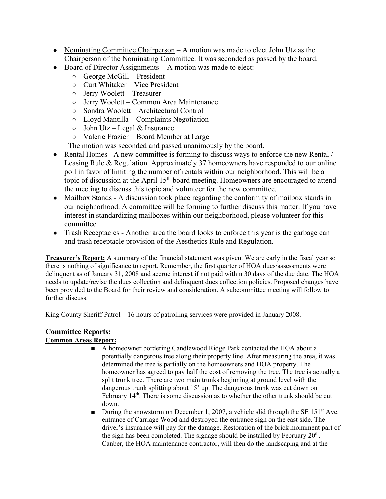- Nominating Committee Chairperson A motion was made to elect John Utz as the Chairperson of the Nominating Committee. It was seconded as passed by the board.
- Board of Director Assignments A motion was made to elect:
	- George McGill President
	- Curt Whitaker Vice President
	- Jerry Woolett Treasurer
	- Jerry Woolett Common Area Maintenance
	- Sondra Woolett Architectural Control
	- Lloyd Mantilla Complaints Negotiation
	- $\circ$  John Utz Legal & Insurance
	- Valerie Frazier Board Member at Large
	- The motion was seconded and passed unanimously by the board.
- Rental Homes A new committee is forming to discuss ways to enforce the new Rental / Leasing Rule & Regulation. Approximately 37 homeowners have responded to our online poll in favor of limiting the number of rentals within our neighborhood. This will be a topic of discussion at the April  $15<sup>th</sup>$  board meeting. Homeowners are encouraged to attend the meeting to discuss this topic and volunteer for the new committee.
- Mailbox Stands A discussion took place regarding the conformity of mailbox stands in our neighborhood. A committee will be forming to further discuss this matter. If you have interest in standardizing mailboxes within our neighborhood, please volunteer for this committee.
- Trash Receptacles Another area the board looks to enforce this year is the garbage can and trash receptacle provision of the Aesthetics Rule and Regulation.

**Treasurer's Report:** A summary of the financial statement was given. We are early in the fiscal year so there is nothing of significance to report. Remember, the first quarter of HOA dues/assessments were delinquent as of January 31, 2008 and accrue interest if not paid within 30 days of the due date. The HOA needs to update/revise the dues collection and delinquent dues collection policies. Proposed changes have been provided to the Board for their review and consideration. A subcommittee meeting will follow to further discuss.

King County Sheriff Patrol – 16 hours of patrolling services were provided in January 2008.

### **Committee Reports: Common Areas Report:**

- A homeowner bordering Candlewood Ridge Park contacted the HOA about a potentially dangerous tree along their property line. After measuring the area, it was determined the tree is partially on the homeowners and HOA property. The homeowner has agreed to pay half the cost of removing the tree. The tree is actually a split trunk tree. There are two main trunks beginning at ground level with the dangerous trunk splitting about 15' up. The dangerous trunk was cut down on February 14<sup>th</sup>. There is some discussion as to whether the other trunk should be cut down.
- **•** During the snowstorm on December 1, 2007, a vehicle slid through the SE 151<sup>st</sup> Ave. entrance of Carriage Wood and destroyed the entrance sign on the east side. The driver's insurance will pay for the damage. Restoration of the brick monument part of the sign has been completed. The signage should be installed by February  $20<sup>th</sup>$ . Canber, the HOA maintenance contractor, will then do the landscaping and at the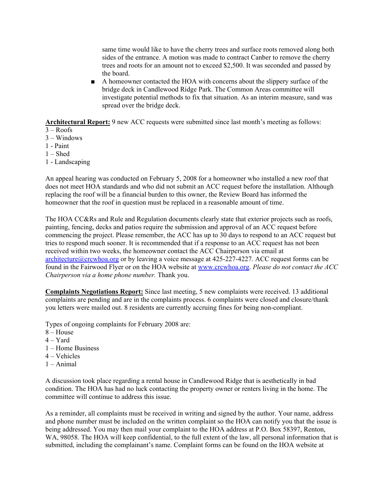same time would like to have the cherry trees and surface roots removed along both sides of the entrance. A motion was made to contract Canber to remove the cherry trees and roots for an amount not to exceed \$2,500. It was seconded and passed by the board.

■ A homeowner contacted the HOA with concerns about the slippery surface of the bridge deck in Candlewood Ridge Park. The Common Areas committee will investigate potential methods to fix that situation. As an interim measure, sand was spread over the bridge deck.

**Architectural Report:** 9 new ACC requests were submitted since last month's meeting as follows:

- $3 Roots$
- 3 Windows
- 1 Paint
- $1 -$ Shed
- 1 Landscaping

An appeal hearing was conducted on February 5, 2008 for a homeowner who installed a new roof that does not meet HOA standards and who did not submit an ACC request before the installation. Although replacing the roof will be a financial burden to this owner, the Review Board has informed the homeowner that the roof in question must be replaced in a reasonable amount of time.

The HOA CC&Rs and Rule and Regulation documents clearly state that exterior projects such as roofs, painting, fencing, decks and patios require the submission and approval of an ACC request before commencing the project. Please remember, the ACC has up to 30 days to respond to an ACC request but tries to respond much sooner. It is recommended that if a response to an ACC request has not been received within two weeks, the homeowner contact the ACC Chairperson via email at architecture@crcwhoa.org or by leaving a voice message at  $425-227-4227$ . ACC request forms can be found in the Fairwood Flyer or on the HOA website at www.crcwhoa.org. *Please do not contact the ACC Chairperson via a home phone number.* Thank you.

**Complaints Negotiations Report:** Since last meeting, 5 new complaints were received. 13 additional complaints are pending and are in the complaints process. 6 complaints were closed and closure/thank you letters were mailed out. 8 residents are currently accruing fines for being non-compliant.

Types of ongoing complaints for February 2008 are:

- 8 House
- $4 Yard$
- 1 Home Business
- 4 Vehicles
- 1 Animal

A discussion took place regarding a rental house in Candlewood Ridge that is aesthetically in bad condition. The HOA has had no luck contacting the property owner or renters living in the home. The committee will continue to address this issue.

As a reminder, all complaints must be received in writing and signed by the author. Your name, address and phone number must be included on the written complaint so the HOA can notify you that the issue is being addressed. You may then mail your complaint to the HOA address at P.O. Box 58397, Renton, WA, 98058. The HOA will keep confidential, to the full extent of the law, all personal information that is submitted, including the complainant's name. Complaint forms can be found on the HOA website at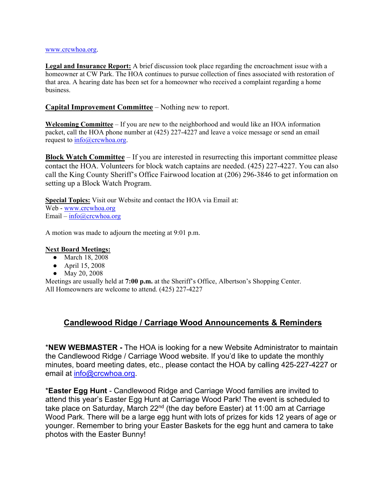#### www.crcwhoa.org.

**Legal and Insurance Report:** A brief discussion took place regarding the encroachment issue with a homeowner at CW Park. The HOA continues to pursue collection of fines associated with restoration of that area. A hearing date has been set for a homeowner who received a complaint regarding a home business.

### **Capital Improvement Committee** – Nothing new to report.

**Welcoming Committee** – If you are new to the neighborhood and would like an HOA information packet, call the HOA phone number at (425) 227-4227 and leave a voice message or send an email request to info@crcwhoa.org.

**Block Watch Committee** – If you are interested in resurrecting this important committee please contact the HOA. Volunteers for block watch captains are needed. (425) 227-4227. You can also call the King County Sheriff's Office Fairwood location at (206) 296-3846 to get information on setting up a Block Watch Program.

**Special Topics:** Visit our Website and contact the HOA via Email at: Web - www.crcwhoa.org Email – info@crcwhoa.org

A motion was made to adjourn the meeting at 9:01 p.m.

#### **Next Board Meetings:**

- March 18, 2008
- April 15, 2008
- May 20, 2008

Meetings are usually held at **7:00 p.m.** at the Sheriff's Office, Albertson's Shopping Center. All Homeowners are welcome to attend. (425) 227-4227

# **Candlewood Ridge / Carriage Wood Announcements & Reminders**

\***NEW WEBMASTER -** The HOA is looking for a new Website Administrator to maintain the Candlewood Ridge / Carriage Wood website. If you'd like to update the monthly minutes, board meeting dates, etc., please contact the HOA by calling 425-227-4227 or email at info@crcwhoa.org.

\***Easter Egg Hunt** - Candlewood Ridge and Carriage Wood families are invited to attend this year's Easter Egg Hunt at Carriage Wood Park! The event is scheduled to take place on Saturday, March 22<sup>nd</sup> (the day before Easter) at 11:00 am at Carriage Wood Park. There will be a large egg hunt with lots of prizes for kids 12 years of age or younger. Remember to bring your Easter Baskets for the egg hunt and camera to take photos with the Easter Bunny!